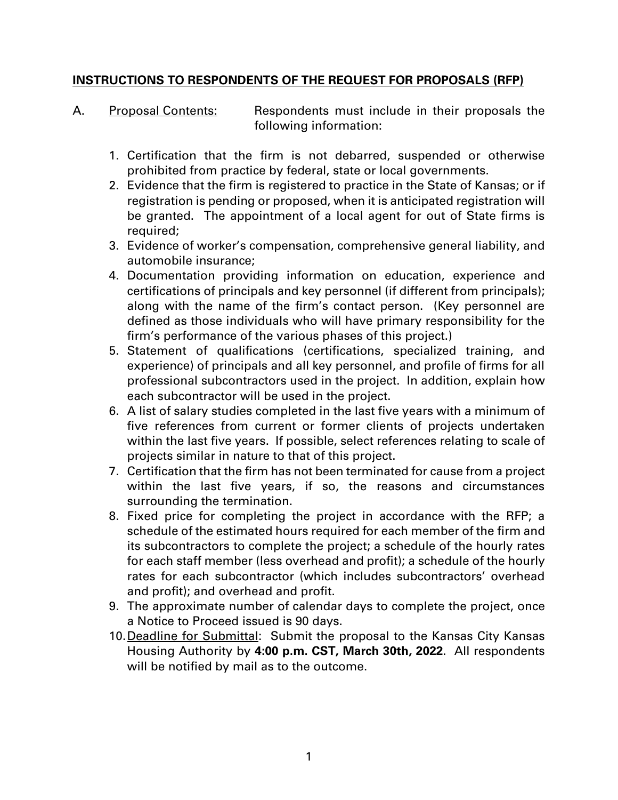#### **INSTRUCTIONS TO RESPONDENTS OF THE REQUEST FOR PROPOSALS (RFP)**

- A. Proposal Contents: Respondents must include in their proposals the following information:
	- 1. Certification that the firm is not debarred, suspended or otherwise prohibited from practice by federal, state or local governments.
	- 2. Evidence that the firm is registered to practice in the State of Kansas; or if registration is pending or proposed, when it is anticipated registration will be granted. The appointment of a local agent for out of State firms is required;
	- 3. Evidence of worker's compensation, comprehensive general liability, and automobile insurance;
	- 4. Documentation providing information on education, experience and certifications of principals and key personnel (if different from principals); along with the name of the firm's contact person. (Key personnel are defined as those individuals who will have primary responsibility for the firm's performance of the various phases of this project.)
	- 5. Statement of qualifications (certifications, specialized training, and experience) of principals and all key personnel, and profile of firms for all professional subcontractors used in the project. In addition, explain how each subcontractor will be used in the project.
	- 6. A list of salary studies completed in the last five years with a minimum of five references from current or former clients of projects undertaken within the last five years. If possible, select references relating to scale of projects similar in nature to that of this project.
	- 7. Certification that the firm has not been terminated for cause from a project within the last five years, if so, the reasons and circumstances surrounding the termination.
	- 8. Fixed price for completing the project in accordance with the RFP; a schedule of the estimated hours required for each member of the firm and its subcontractors to complete the project; a schedule of the hourly rates for each staff member (less overhead and profit); a schedule of the hourly rates for each subcontractor (which includes subcontractors' overhead and profit); and overhead and profit.
	- 9. The approximate number of calendar days to complete the project, once a Notice to Proceed issued is 90 days.
	- 10.Deadline for Submittal: Submit the proposal to the Kansas City Kansas Housing Authority by **4:00 p.m. CST, March 30th, 2022**. All respondents will be notified by mail as to the outcome.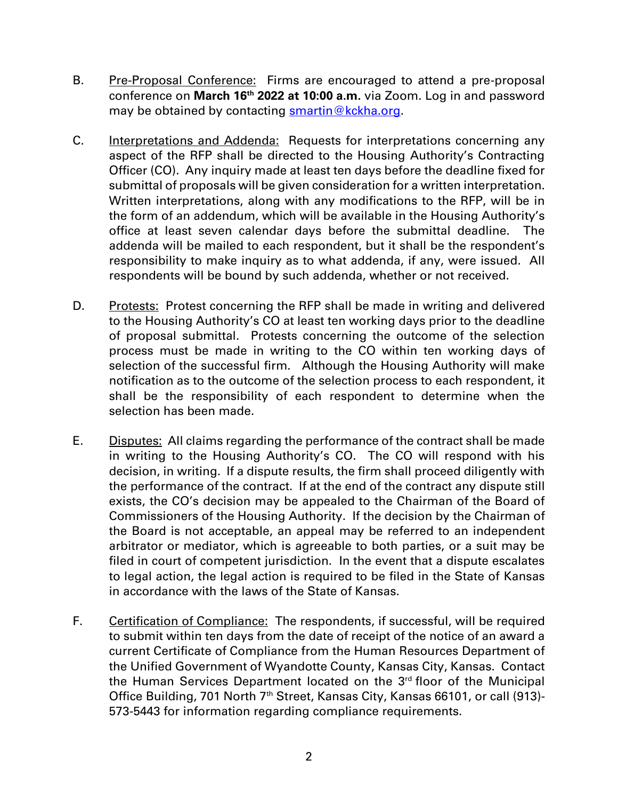- B. Pre-Proposal Conference: Firms are encouraged to attend a pre-proposal conference on **March 16th 2022 at 10:00 a.m.** via Zoom. Log in and password may be obtained by contacting  $\frac{\text{smartin}\,\textcircled{R}\text{ckhacion}}{\text{matri}}$ .
- C. Interpretations and Addenda: Requests for interpretations concerning any aspect of the RFP shall be directed to the Housing Authority's Contracting Officer (CO). Any inquiry made at least ten days before the deadline fixed for submittal of proposals will be given consideration for a written interpretation. Written interpretations, along with any modifications to the RFP, will be in the form of an addendum, which will be available in the Housing Authority's office at least seven calendar days before the submittal deadline. The addenda will be mailed to each respondent, but it shall be the respondent's responsibility to make inquiry as to what addenda, if any, were issued. All respondents will be bound by such addenda, whether or not received.
- D. Protests: Protest concerning the RFP shall be made in writing and delivered to the Housing Authority's CO at least ten working days prior to the deadline of proposal submittal. Protests concerning the outcome of the selection process must be made in writing to the CO within ten working days of selection of the successful firm. Although the Housing Authority will make notification as to the outcome of the selection process to each respondent, it shall be the responsibility of each respondent to determine when the selection has been made.
- E. Disputes: All claims regarding the performance of the contract shall be made in writing to the Housing Authority's CO. The CO will respond with his decision, in writing. If a dispute results, the firm shall proceed diligently with the performance of the contract. If at the end of the contract any dispute still exists, the CO's decision may be appealed to the Chairman of the Board of Commissioners of the Housing Authority. If the decision by the Chairman of the Board is not acceptable, an appeal may be referred to an independent arbitrator or mediator, which is agreeable to both parties, or a suit may be filed in court of competent jurisdiction. In the event that a dispute escalates to legal action, the legal action is required to be filed in the State of Kansas in accordance with the laws of the State of Kansas.
- F. Certification of Compliance: The respondents, if successful, will be required to submit within ten days from the date of receipt of the notice of an award a current Certificate of Compliance from the Human Resources Department of the Unified Government of Wyandotte County, Kansas City, Kansas. Contact the Human Services Department located on the 3<sup>rd</sup> floor of the Municipal Office Building, 701 North 7<sup>th</sup> Street, Kansas City, Kansas 66101, or call (913)-573-5443 for information regarding compliance requirements.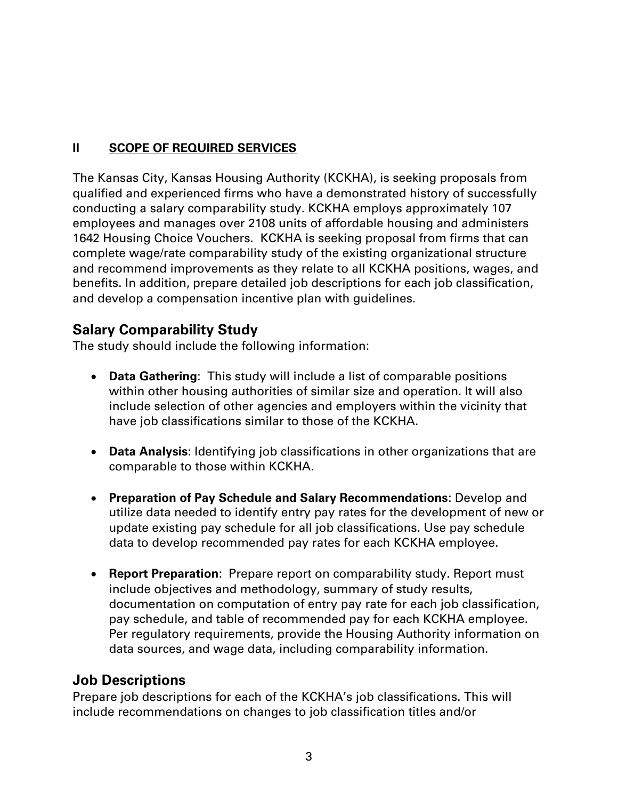### **II SCOPE OF REQUIRED SERVICES**

The Kansas City, Kansas Housing Authority (KCKHA), is seeking proposals from qualified and experienced firms who have a demonstrated history of successfully conducting a salary comparability study. KCKHA employs approximately 107 employees and manages over 2108 units of affordable housing and administers 1642 Housing Choice Vouchers. KCKHA is seeking proposal from firms that can complete wage/rate comparability study of the existing organizational structure and recommend improvements as they relate to all KCKHA positions, wages, and benefits. In addition, prepare detailed job descriptions for each job classification, and develop a compensation incentive plan with guidelines.

# **Salary Comparability Study**

The study should include the following information:

- **Data Gathering**: This study will include a list of comparable positions within other housing authorities of similar size and operation. It will also include selection of other agencies and employers within the vicinity that have job classifications similar to those of the KCKHA.
- **Data Analysis**: Identifying job classifications in other organizations that are comparable to those within KCKHA.
- **Preparation of Pay Schedule and Salary Recommendations**: Develop and utilize data needed to identify entry pay rates for the development of new or update existing pay schedule for all job classifications. Use pay schedule data to develop recommended pay rates for each KCKHA employee.
- **Report Preparation**: Prepare report on comparability study. Report must include objectives and methodology, summary of study results, documentation on computation of entry pay rate for each job classification, pay schedule, and table of recommended pay for each KCKHA employee. Per regulatory requirements, provide the Housing Authority information on data sources, and wage data, including comparability information.

## **Job Descriptions**

Prepare job descriptions for each of the KCKHA's job classifications. This will include recommendations on changes to job classification titles and/or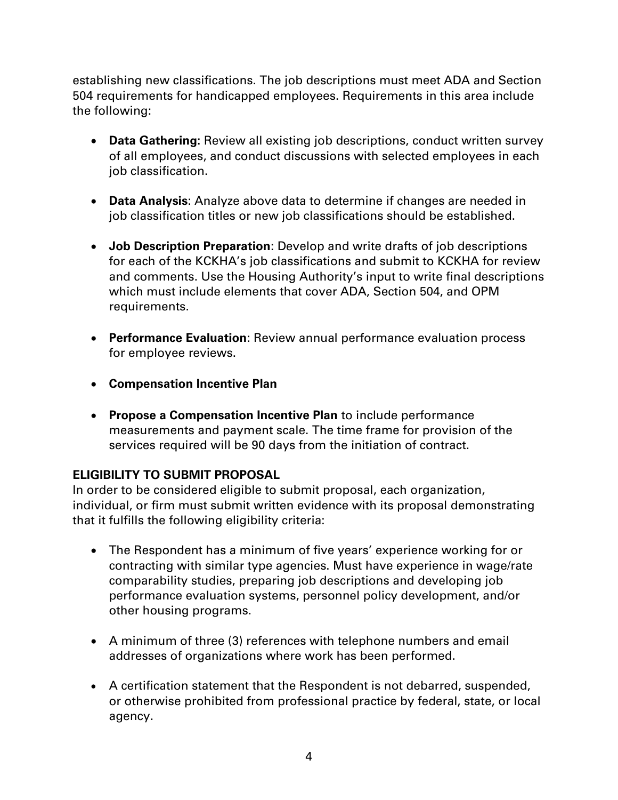establishing new classifications. The job descriptions must meet ADA and Section 504 requirements for handicapped employees. Requirements in this area include the following:

- **Data Gathering:** Review all existing job descriptions, conduct written survey of all employees, and conduct discussions with selected employees in each job classification.
- **Data Analysis**: Analyze above data to determine if changes are needed in job classification titles or new job classifications should be established.
- **Job Description Preparation**: Develop and write drafts of job descriptions for each of the KCKHA's job classifications and submit to KCKHA for review and comments. Use the Housing Authority's input to write final descriptions which must include elements that cover ADA, Section 504, and OPM requirements.
- **Performance Evaluation**: Review annual performance evaluation process for employee reviews.
- **Compensation Incentive Plan**
- **Propose a Compensation Incentive Plan** to include performance measurements and payment scale. The time frame for provision of the services required will be 90 days from the initiation of contract.

### **ELIGIBILITY TO SUBMIT PROPOSAL**

In order to be considered eligible to submit proposal, each organization, individual, or firm must submit written evidence with its proposal demonstrating that it fulfills the following eligibility criteria:

- The Respondent has a minimum of five years' experience working for or contracting with similar type agencies. Must have experience in wage/rate comparability studies, preparing job descriptions and developing job performance evaluation systems, personnel policy development, and/or other housing programs.
- A minimum of three (3) references with telephone numbers and email addresses of organizations where work has been performed.
- A certification statement that the Respondent is not debarred, suspended, or otherwise prohibited from professional practice by federal, state, or local agency.